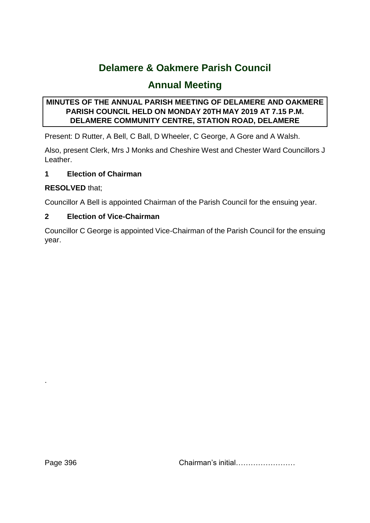# **Delamere & Oakmere Parish Council**

# **Annual Meeting**

# **MINUTES OF THE ANNUAL PARISH MEETING OF DELAMERE AND OAKMERE PARISH COUNCIL HELD ON MONDAY 20TH MAY 2019 AT 7.15 P.M. DELAMERE COMMUNITY CENTRE, STATION ROAD, DELAMERE**

Present: D Rutter, A Bell, C Ball, D Wheeler, C George, A Gore and A Walsh.

Also, present Clerk, Mrs J Monks and Cheshire West and Chester Ward Councillors J Leather.

# **1 Election of Chairman**

# **RESOLVED** that;

Councillor A Bell is appointed Chairman of the Parish Council for the ensuing year.

# **2 Election of Vice-Chairman**

Councillor C George is appointed Vice-Chairman of the Parish Council for the ensuing year.

Page 396 Chairman's initial……………………

.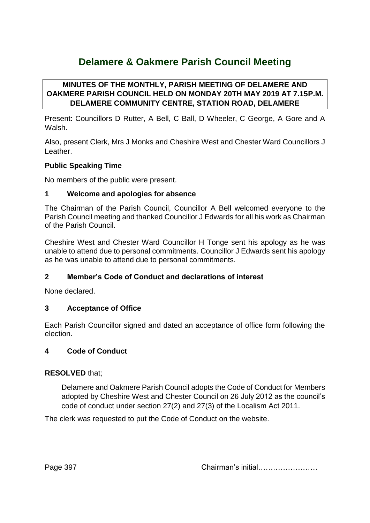# **Delamere & Oakmere Parish Council Meeting**

## **MINUTES OF THE MONTHLY, PARISH MEETING OF DELAMERE AND OAKMERE PARISH COUNCIL HELD ON MONDAY 20TH MAY 2019 AT 7.15P.M. DELAMERE COMMUNITY CENTRE, STATION ROAD, DELAMERE**

Present: Councillors D Rutter, A Bell, C Ball, D Wheeler, C George, A Gore and A Walsh.

Also, present Clerk, Mrs J Monks and Cheshire West and Chester Ward Councillors J Leather.

## **Public Speaking Time**

No members of the public were present.

## **1 Welcome and apologies for absence**

The Chairman of the Parish Council, Councillor A Bell welcomed everyone to the Parish Council meeting and thanked Councillor J Edwards for all his work as Chairman of the Parish Council.

Cheshire West and Chester Ward Councillor H Tonge sent his apology as he was unable to attend due to personal commitments. Councillor J Edwards sent his apology as he was unable to attend due to personal commitments.

## **2 Member's Code of Conduct and declarations of interest**

None declared.

## **3 Acceptance of Office**

Each Parish Councillor signed and dated an acceptance of office form following the election.

#### **4 Code of Conduct**

## **RESOLVED** that;

Delamere and Oakmere Parish Council adopts the Code of Conduct for Members adopted by Cheshire West and Chester Council on 26 July 2012 as the council's code of conduct under section 27(2) and 27(3) of the Localism Act 2011.

The clerk was requested to put the Code of Conduct on the website.

Page 397 Chairman's initial……………………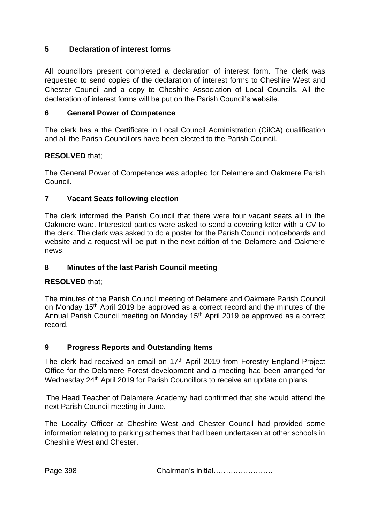## **5 Declaration of interest forms**

All councillors present completed a declaration of interest form. The clerk was requested to send copies of the declaration of interest forms to Cheshire West and Chester Council and a copy to Cheshire Association of Local Councils. All the declaration of interest forms will be put on the Parish Council's website.

## **6 General Power of Competence**

The clerk has a the Certificate in Local Council Administration (CilCA) qualification and all the Parish Councillors have been elected to the Parish Council.

## **RESOLVED** that;

The General Power of Competence was adopted for Delamere and Oakmere Parish Council.

## **7 Vacant Seats following election**

The clerk informed the Parish Council that there were four vacant seats all in the Oakmere ward. Interested parties were asked to send a covering letter with a CV to the clerk. The clerk was asked to do a poster for the Parish Council noticeboards and website and a request will be put in the next edition of the Delamere and Oakmere news.

## **8 Minutes of the last Parish Council meeting**

## **RESOLVED** that;

The minutes of the Parish Council meeting of Delamere and Oakmere Parish Council on Monday 15<sup>th</sup> April 2019 be approved as a correct record and the minutes of the Annual Parish Council meeting on Monday 15th April 2019 be approved as a correct record.

## **9 Progress Reports and Outstanding Items**

The clerk had received an email on 17<sup>th</sup> April 2019 from Forestry England Project Office for the Delamere Forest development and a meeting had been arranged for Wednesday 24<sup>th</sup> April 2019 for Parish Councillors to receive an update on plans.

The Head Teacher of Delamere Academy had confirmed that she would attend the next Parish Council meeting in June.

The Locality Officer at Cheshire West and Chester Council had provided some information relating to parking schemes that had been undertaken at other schools in Cheshire West and Chester.

Page 398 Chairman's initial……………………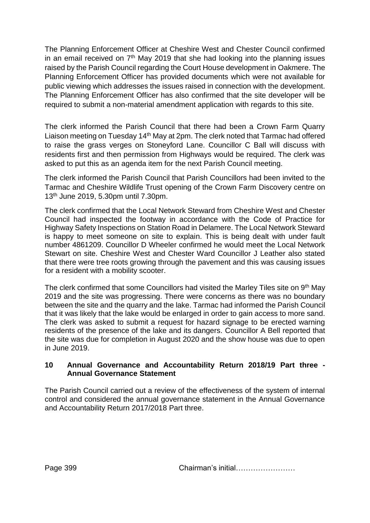The Planning Enforcement Officer at Cheshire West and Chester Council confirmed in an email received on  $7<sup>th</sup>$  May 2019 that she had looking into the planning issues raised by the Parish Council regarding the Court House development in Oakmere. The Planning Enforcement Officer has provided documents which were not available for public viewing which addresses the issues raised in connection with the development. The Planning Enforcement Officer has also confirmed that the site developer will be required to submit a non-material amendment application with regards to this site.

The clerk informed the Parish Council that there had been a Crown Farm Quarry Liaison meeting on Tuesday 14<sup>th</sup> May at 2pm. The clerk noted that Tarmac had offered to raise the grass verges on Stoneyford Lane. Councillor C Ball will discuss with residents first and then permission from Highways would be required. The clerk was asked to put this as an agenda item for the next Parish Council meeting.

The clerk informed the Parish Council that Parish Councillors had been invited to the Tarmac and Cheshire Wildlife Trust opening of the Crown Farm Discovery centre on 13th June 2019, 5.30pm until 7.30pm.

The clerk confirmed that the Local Network Steward from Cheshire West and Chester Council had inspected the footway in accordance with the Code of Practice for Highway Safety Inspections on Station Road in Delamere. The Local Network Steward is happy to meet someone on site to explain. This is being dealt with under fault number 4861209. Councillor D Wheeler confirmed he would meet the Local Network Stewart on site. Cheshire West and Chester Ward Councillor J Leather also stated that there were tree roots growing through the pavement and this was causing issues for a resident with a mobility scooter.

The clerk confirmed that some Councillors had visited the Marley Tiles site on 9<sup>th</sup> May 2019 and the site was progressing. There were concerns as there was no boundary between the site and the quarry and the lake. Tarmac had informed the Parish Council that it was likely that the lake would be enlarged in order to gain access to more sand. The clerk was asked to submit a request for hazard signage to be erected warning residents of the presence of the lake and its dangers. Councillor A Bell reported that the site was due for completion in August 2020 and the show house was due to open in June 2019.

#### **10 Annual Governance and Accountability Return 2018/19 Part three - Annual Governance Statement**

The Parish Council carried out a review of the effectiveness of the system of internal control and considered the annual governance statement in the Annual Governance and Accountability Return 2017/2018 Part three.

Page 399 Chairman's initial……………………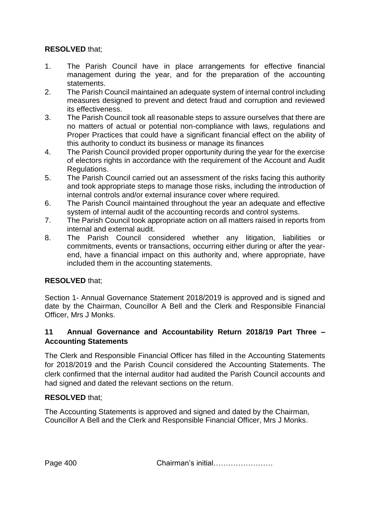## **RESOLVED** that;

- 1. The Parish Council have in place arrangements for effective financial management during the year, and for the preparation of the accounting statements.
- 2. The Parish Council maintained an adequate system of internal control including measures designed to prevent and detect fraud and corruption and reviewed its effectiveness.
- 3. The Parish Council took all reasonable steps to assure ourselves that there are no matters of actual or potential non-compliance with laws, regulations and Proper Practices that could have a significant financial effect on the ability of this authority to conduct its business or manage its finances
- 4. The Parish Council provided proper opportunity during the year for the exercise of electors rights in accordance with the requirement of the Account and Audit Regulations.
- 5. The Parish Council carried out an assessment of the risks facing this authority and took appropriate steps to manage those risks, including the introduction of internal controls and/or external insurance cover where required.
- 6. The Parish Council maintained throughout the year an adequate and effective system of internal audit of the accounting records and control systems.
- 7. The Parish Council took appropriate action on all matters raised in reports from internal and external audit.
- 8. The Parish Council considered whether any litigation, liabilities or commitments, events or transactions, occurring either during or after the yearend, have a financial impact on this authority and, where appropriate, have included them in the accounting statements.

# **RESOLVED** that;

Section 1- Annual Governance Statement 2018/2019 is approved and is signed and date by the Chairman, Councillor A Bell and the Clerk and Responsible Financial Officer, Mrs J Monks.

## **11 Annual Governance and Accountability Return 2018/19 Part Three – Accounting Statements**

The Clerk and Responsible Financial Officer has filled in the Accounting Statements for 2018/2019 and the Parish Council considered the Accounting Statements. The clerk confirmed that the internal auditor had audited the Parish Council accounts and had signed and dated the relevant sections on the return.

## **RESOLVED** that;

The Accounting Statements is approved and signed and dated by the Chairman, Councillor A Bell and the Clerk and Responsible Financial Officer, Mrs J Monks.

Page 400 Chairman's initial……………………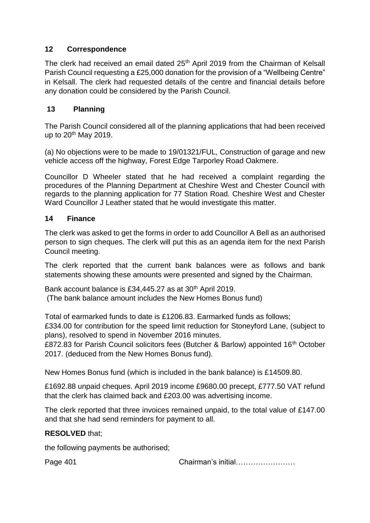## **12 Correspondence**

The clerk had received an email dated 25<sup>th</sup> April 2019 from the Chairman of Kelsall Parish Council requesting a £25,000 donation for the provision of a "Wellbeing Centre" in Kelsall. The clerk had requested details of the centre and financial details before any donation could be considered by the Parish Council.

## **13 Planning**

The Parish Council considered all of the planning applications that had been received up to  $20<sup>th</sup>$  May 2019.

(a) No objections were to be made to 19/01321/FUL, Construction of garage and new vehicle access off the highway, Forest Edge Tarporley Road Oakmere.

Councillor D Wheeler stated that he had received a complaint regarding the procedures of the Planning Department at Cheshire West and Chester Council with regards to the planning application for 77 Station Road. Cheshire West and Chester Ward Councillor J Leather stated that he would investigate this matter.

## **14 Finance**

The clerk was asked to get the forms in order to add Councillor A Bell as an authorised person to sign cheques. The clerk will put this as an agenda item for the next Parish Council meeting.

The clerk reported that the current bank balances were as follows and bank statements showing these amounts were presented and signed by the Chairman.

Bank account balance is £34,445.27 as at 30<sup>th</sup> April 2019. (The bank balance amount includes the New Homes Bonus fund)

Total of earmarked funds to date is £1206.83. Earmarked funds as follows; £334.00 for contribution for the speed limit reduction for Stoneyford Lane, (subject to plans), resolved to spend in November 2016 minutes.

£872.83 for Parish Council solicitors fees (Butcher & Barlow) appointed 16<sup>th</sup> October 2017. (deduced from the New Homes Bonus fund).

New Homes Bonus fund (which is included in the bank balance) is £14509.80.

£1692.88 unpaid cheques. April 2019 income £9680.00 precept, £777.50 VAT refund that the clerk has claimed back and £203.00 was advertising income.

The clerk reported that three invoices remained unpaid, to the total value of £147.00 and that she had send reminders for payment to all.

## **RESOLVED** that;

the following payments be authorised;

Page 401 Chairman's initial……………………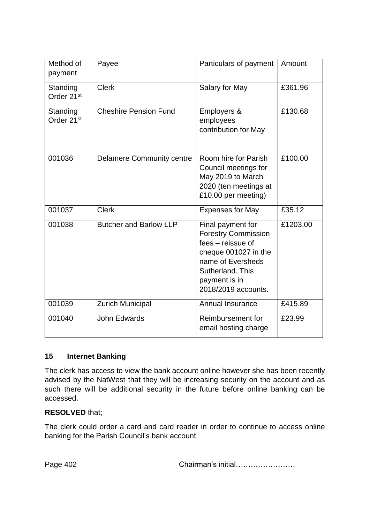| Method of<br>payment               | Payee                            | Particulars of payment                                                                                                                                                        | Amount   |
|------------------------------------|----------------------------------|-------------------------------------------------------------------------------------------------------------------------------------------------------------------------------|----------|
| Standing<br>Order 21 <sup>st</sup> | <b>Clerk</b>                     | Salary for May                                                                                                                                                                | £361.96  |
| Standing<br>Order 21 <sup>st</sup> | <b>Cheshire Pension Fund</b>     | Employers &<br>employees<br>contribution for May                                                                                                                              | £130.68  |
| 001036                             | <b>Delamere Community centre</b> | Room hire for Parish<br>Council meetings for<br>May 2019 to March<br>2020 (ten meetings at<br>£10.00 per meeting)                                                             | £100.00  |
| 001037                             | <b>Clerk</b>                     | <b>Expenses for May</b>                                                                                                                                                       | £35.12   |
| 001038                             | <b>Butcher and Barlow LLP</b>    | Final payment for<br><b>Forestry Commission</b><br>fees – reissue of<br>cheque 001027 in the<br>name of Eversheds<br>Sutherland, This<br>payment is in<br>2018/2019 accounts. | £1203.00 |
| 001039                             | <b>Zurich Municipal</b>          | Annual Insurance                                                                                                                                                              | £415.89  |
| 001040                             | John Edwards                     | Reimbursement for<br>email hosting charge                                                                                                                                     | £23.99   |

## **15 Internet Banking**

The clerk has access to view the bank account online however she has been recently advised by the NatWest that they will be increasing security on the account and as such there will be additional security in the future before online banking can be accessed.

#### **RESOLVED** that;

The clerk could order a card and card reader in order to continue to access online banking for the Parish Council's bank account.

Page 402 Chairman's initial……………………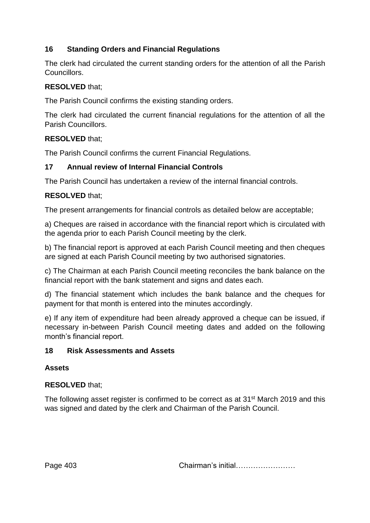# **16 Standing Orders and Financial Regulations**

The clerk had circulated the current standing orders for the attention of all the Parish Councillors.

#### **RESOLVED** that;

The Parish Council confirms the existing standing orders.

The clerk had circulated the current financial regulations for the attention of all the Parish Councillors.

#### **RESOLVED** that;

The Parish Council confirms the current Financial Regulations.

#### **17 Annual review of Internal Financial Controls**

The Parish Council has undertaken a review of the internal financial controls.

#### **RESOLVED** that;

The present arrangements for financial controls as detailed below are acceptable;

a) Cheques are raised in accordance with the financial report which is circulated with the agenda prior to each Parish Council meeting by the clerk.

b) The financial report is approved at each Parish Council meeting and then cheques are signed at each Parish Council meeting by two authorised signatories.

c) The Chairman at each Parish Council meeting reconciles the bank balance on the financial report with the bank statement and signs and dates each.

d) The financial statement which includes the bank balance and the cheques for payment for that month is entered into the minutes accordingly.

e) If any item of expenditure had been already approved a cheque can be issued, if necessary in-between Parish Council meeting dates and added on the following month's financial report.

#### **18 Risk Assessments and Assets**

## **Assets**

## **RESOLVED** that;

The following asset register is confirmed to be correct as at 31<sup>st</sup> March 2019 and this was signed and dated by the clerk and Chairman of the Parish Council.

Page 403 Chairman's initial……………………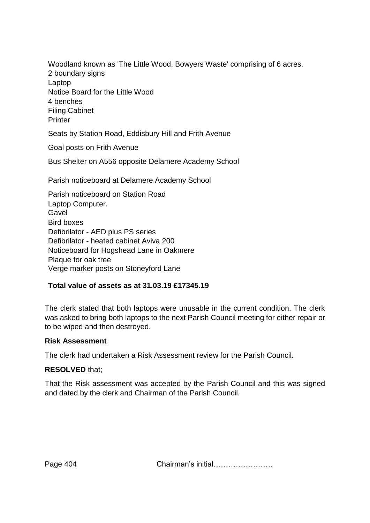Woodland known as 'The Little Wood, Bowyers Waste' comprising of 6 acres. 2 boundary signs Laptop Notice Board for the Little Wood 4 benches Filing Cabinet **Printer** 

Seats by Station Road, Eddisbury Hill and Frith Avenue

Goal posts on Frith Avenue

Bus Shelter on A556 opposite Delamere Academy School

Parish noticeboard at Delamere Academy School

Parish noticeboard on Station Road Laptop Computer. Gavel Bird boxes Defibrilator - AED plus PS series Defibrilator - heated cabinet Aviva 200 Noticeboard for Hogshead Lane in Oakmere Plaque for oak tree Verge marker posts on Stoneyford Lane

#### **Total value of assets as at 31.03.19 £17345.19**

The clerk stated that both laptops were unusable in the current condition. The clerk was asked to bring both laptops to the next Parish Council meeting for either repair or to be wiped and then destroyed.

#### **Risk Assessment**

The clerk had undertaken a Risk Assessment review for the Parish Council.

#### **RESOLVED** that;

That the Risk assessment was accepted by the Parish Council and this was signed and dated by the clerk and Chairman of the Parish Council.

Page 404 Chairman's initial……………………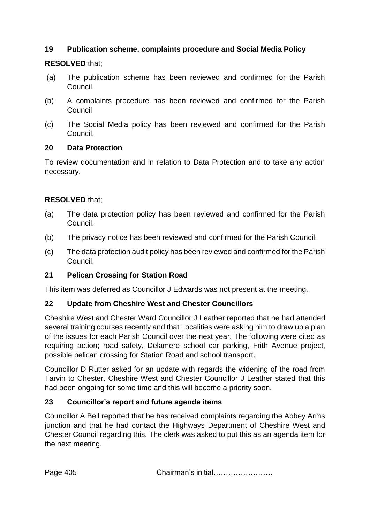## **19 Publication scheme, complaints procedure and Social Media Policy**

## **RESOLVED** that;

- (a) The publication scheme has been reviewed and confirmed for the Parish Council.
- (b) A complaints procedure has been reviewed and confirmed for the Parish Council
- (c) The Social Media policy has been reviewed and confirmed for the Parish Council.

## **20 Data Protection**

To review documentation and in relation to Data Protection and to take any action necessary.

# **RESOLVED** that;

- (a) The data protection policy has been reviewed and confirmed for the Parish Council.
- (b) The privacy notice has been reviewed and confirmed for the Parish Council.
- (c) The data protection audit policy has been reviewed and confirmed for the Parish Council.

# **21 Pelican Crossing for Station Road**

This item was deferred as Councillor J Edwards was not present at the meeting.

# **22 Update from Cheshire West and Chester Councillors**

Cheshire West and Chester Ward Councillor J Leather reported that he had attended several training courses recently and that Localities were asking him to draw up a plan of the issues for each Parish Council over the next year. The following were cited as requiring action; road safety, Delamere school car parking, Frith Avenue project, possible pelican crossing for Station Road and school transport.

Councillor D Rutter asked for an update with regards the widening of the road from Tarvin to Chester. Cheshire West and Chester Councillor J Leather stated that this had been ongoing for some time and this will become a priority soon.

# **23 Councillor's report and future agenda items**

Councillor A Bell reported that he has received complaints regarding the Abbey Arms junction and that he had contact the Highways Department of Cheshire West and Chester Council regarding this. The clerk was asked to put this as an agenda item for the next meeting.